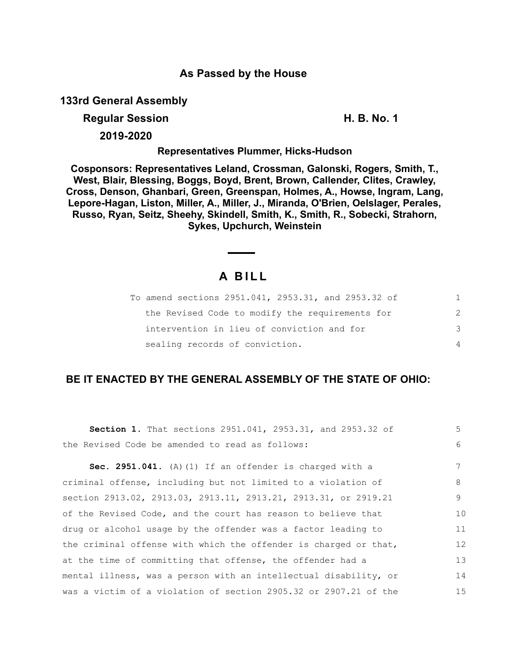# **As Passed by the House**

**133rd General Assembly**

**Regular Session H. B. No. 1**

**2019-2020**

**Representatives Plummer, Hicks-Hudson**

**Cosponsors: Representatives Leland, Crossman, Galonski, Rogers, Smith, T., West, Blair, Blessing, Boggs, Boyd, Brent, Brown, Callender, Clites, Crawley, Cross, Denson, Ghanbari, Green, Greenspan, Holmes, A., Howse, Ingram, Lang, Lepore-Hagan, Liston, Miller, A., Miller, J., Miranda, O'Brien, Oelslager, Perales, Russo, Ryan, Seitz, Sheehy, Skindell, Smith, K., Smith, R., Sobecki, Strahorn, Sykes, Upchurch, Weinstein**

# **A B I L L**

| To amend sections 2951.041, 2953.31, and 2953.32 of |               |
|-----------------------------------------------------|---------------|
| the Revised Code to modify the requirements for     | $\mathcal{P}$ |
| intervention in lieu of conviction and for          | 3             |
| sealing records of conviction.                      |               |

# **BE IT ENACTED BY THE GENERAL ASSEMBLY OF THE STATE OF OHIO:**

| <b>Section 1.</b> That sections 2951.041, 2953.31, and 2953.32 of | 5  |
|-------------------------------------------------------------------|----|
| the Revised Code be amended to read as follows:                   | 6  |
| Sec. 2951.041. (A) (1) If an offender is charged with a           | 7  |
| criminal offense, including but not limited to a violation of     | 8  |
| section 2913.02, 2913.03, 2913.11, 2913.21, 2913.31, or 2919.21   | 9  |
| of the Revised Code, and the court has reason to believe that     | 10 |
| drug or alcohol usage by the offender was a factor leading to     | 11 |
| the criminal offense with which the offender is charged or that,  | 12 |
| at the time of committing that offense, the offender had a        | 13 |
| mental illness, was a person with an intellectual disability, or  | 14 |
| was a victim of a violation of section 2905.32 or 2907.21 of the  | 15 |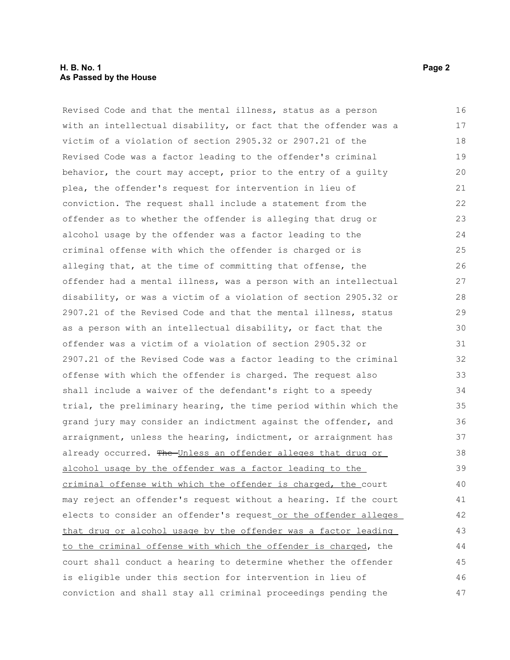#### **H. B. No. 1 Page 2 As Passed by the House**

Revised Code and that the mental illness, status as a person with an intellectual disability, or fact that the offender was a victim of a violation of section 2905.32 or 2907.21 of the Revised Code was a factor leading to the offender's criminal behavior, the court may accept, prior to the entry of a guilty plea, the offender's request for intervention in lieu of conviction. The request shall include a statement from the offender as to whether the offender is alleging that drug or alcohol usage by the offender was a factor leading to the criminal offense with which the offender is charged or is alleging that, at the time of committing that offense, the offender had a mental illness, was a person with an intellectual disability, or was a victim of a violation of section 2905.32 or 2907.21 of the Revised Code and that the mental illness, status as a person with an intellectual disability, or fact that the offender was a victim of a violation of section 2905.32 or 2907.21 of the Revised Code was a factor leading to the criminal offense with which the offender is charged. The request also shall include a waiver of the defendant's right to a speedy trial, the preliminary hearing, the time period within which the grand jury may consider an indictment against the offender, and arraignment, unless the hearing, indictment, or arraignment has already occurred. The Unless an offender alleges that drug or alcohol usage by the offender was a factor leading to the criminal offense with which the offender is charged, the court may reject an offender's request without a hearing. If the court elects to consider an offender's request or the offender alleges that drug or alcohol usage by the offender was a factor leading to the criminal offense with which the offender is charged, the court shall conduct a hearing to determine whether the offender is eligible under this section for intervention in lieu of conviction and shall stay all criminal proceedings pending the 16 17 18 19 20 21 22 23 24 25 26 27 28 29 30 31 32 33 34 35 36 37 38 39 40 41 42 43 44 45 46 47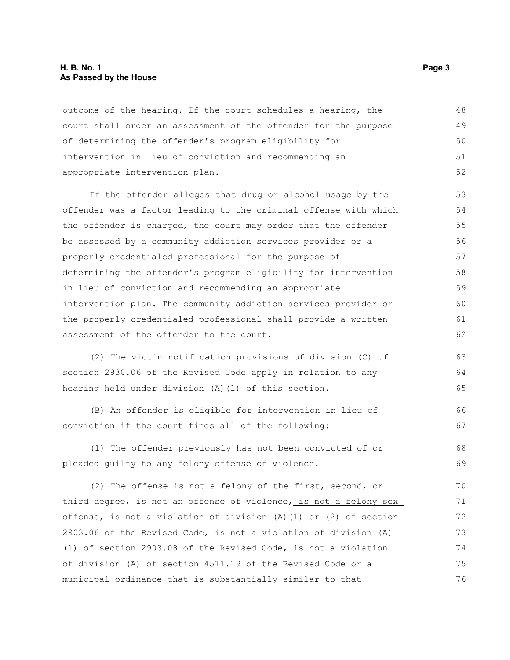# **H. B. No. 1 Page 3 As Passed by the House**

outcome of the hearing. If the court schedules a hearing, the court shall order an assessment of the offender for the purpose of determining the offender's program eligibility for intervention in lieu of conviction and recommending an appropriate intervention plan. 48 49 50 51 52

If the offender alleges that drug or alcohol usage by the offender was a factor leading to the criminal offense with which the offender is charged, the court may order that the offender be assessed by a community addiction services provider or a properly credentialed professional for the purpose of determining the offender's program eligibility for intervention in lieu of conviction and recommending an appropriate intervention plan. The community addiction services provider or the properly credentialed professional shall provide a written assessment of the offender to the court. 53 54 55 56 57 58 59 60 61 62

(2) The victim notification provisions of division (C) of section 2930.06 of the Revised Code apply in relation to any hearing held under division (A)(1) of this section. 63 64 65

(B) An offender is eligible for intervention in lieu of conviction if the court finds all of the following: 66 67

(1) The offender previously has not been convicted of or pleaded guilty to any felony offense of violence. 68 69

(2) The offense is not a felony of the first, second, or third degree, is not an offense of violence, is not a felony sex offense, is not a violation of division (A)(1) or (2) of section 2903.06 of the Revised Code, is not a violation of division (A) (1) of section 2903.08 of the Revised Code, is not a violation of division (A) of section 4511.19 of the Revised Code or a municipal ordinance that is substantially similar to that 70 71 72 73 74 75 76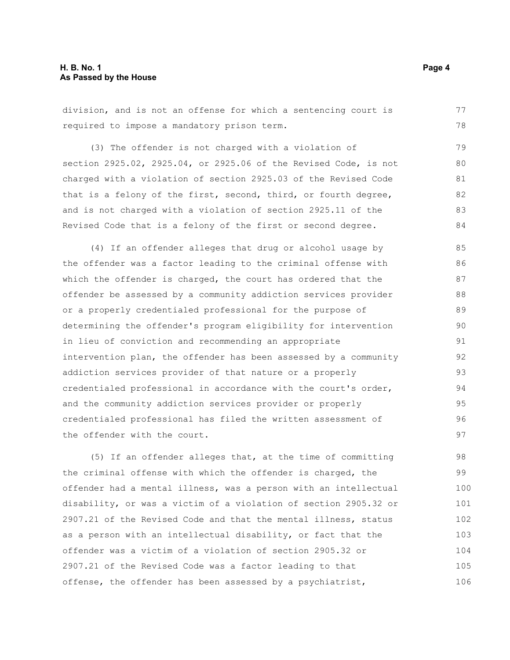division, and is not an offense for which a sentencing court is required to impose a mandatory prison term. (3) The offender is not charged with a violation of section 2925.02, 2925.04, or 2925.06 of the Revised Code, is not charged with a violation of section 2925.03 of the Revised Code that is a felony of the first, second, third, or fourth degree, and is not charged with a violation of section 2925.11 of the Revised Code that is a felony of the first or second degree. (4) If an offender alleges that drug or alcohol usage by the offender was a factor leading to the criminal offense with which the offender is charged, the court has ordered that the offender be assessed by a community addiction services provider or a properly credentialed professional for the purpose of determining the offender's program eligibility for intervention in lieu of conviction and recommending an appropriate intervention plan, the offender has been assessed by a community addiction services provider of that nature or a properly credentialed professional in accordance with the court's order, 77 78 79 80 81 82 83 84 85 86 87 88 89 90 91 92 93 94

and the community addiction services provider or properly credentialed professional has filed the written assessment of the offender with the court. 95 96 97

(5) If an offender alleges that, at the time of committing the criminal offense with which the offender is charged, the offender had a mental illness, was a person with an intellectual disability, or was a victim of a violation of section 2905.32 or 2907.21 of the Revised Code and that the mental illness, status as a person with an intellectual disability, or fact that the offender was a victim of a violation of section 2905.32 or 2907.21 of the Revised Code was a factor leading to that offense, the offender has been assessed by a psychiatrist, 98 99 100 101 102 103 104 105 106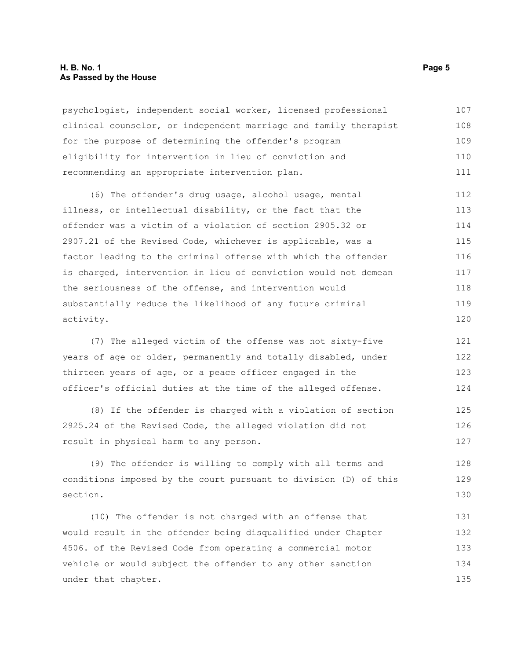# **H. B. No. 1 Page 5 As Passed by the House**

psychologist, independent social worker, licensed professional clinical counselor, or independent marriage and family therapist for the purpose of determining the offender's program eligibility for intervention in lieu of conviction and recommending an appropriate intervention plan. 107 108 109 110 111

(6) The offender's drug usage, alcohol usage, mental illness, or intellectual disability, or the fact that the offender was a victim of a violation of section 2905.32 or 2907.21 of the Revised Code, whichever is applicable, was a factor leading to the criminal offense with which the offender is charged, intervention in lieu of conviction would not demean the seriousness of the offense, and intervention would substantially reduce the likelihood of any future criminal activity. 112 113 114 115 116 117 118 119 120

(7) The alleged victim of the offense was not sixty-five years of age or older, permanently and totally disabled, under thirteen years of age, or a peace officer engaged in the officer's official duties at the time of the alleged offense. 121 122 123 124

(8) If the offender is charged with a violation of section 2925.24 of the Revised Code, the alleged violation did not result in physical harm to any person. 125 126 127

(9) The offender is willing to comply with all terms and conditions imposed by the court pursuant to division (D) of this section. 128 129 130

(10) The offender is not charged with an offense that would result in the offender being disqualified under Chapter 4506. of the Revised Code from operating a commercial motor vehicle or would subject the offender to any other sanction under that chapter. 131 132 133 134 135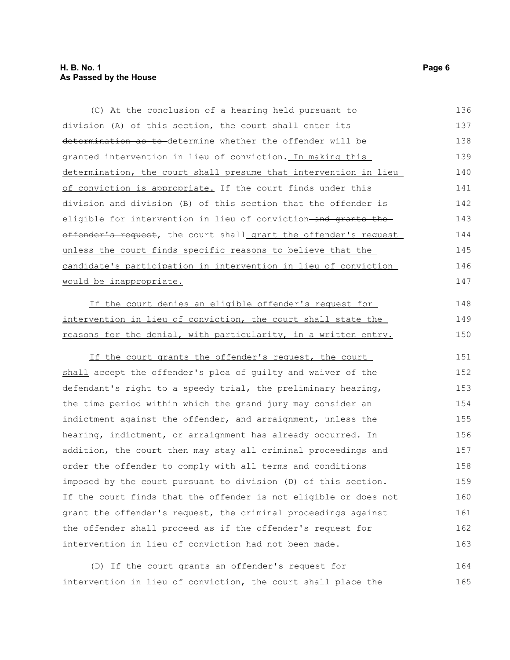## **H. B. No. 1 Page 6 As Passed by the House**

(C) At the conclusion of a hearing held pursuant to division (A) of this section, the court shall enter itsdetermination as to-determine whether the offender will be granted intervention in lieu of conviction. In making this determination, the court shall presume that intervention in lieu of conviction is appropriate. If the court finds under this division and division (B) of this section that the offender is eligible for intervention in lieu of conviction-and grants theoffender's request, the court shall grant the offender's request unless the court finds specific reasons to believe that the candidate's participation in intervention in lieu of conviction would be inappropriate. If the court denies an eligible offender's request for intervention in lieu of conviction, the court shall state the reasons for the denial, with particularity, in a written entry. If the court grants the offender's request, the court shall accept the offender's plea of guilty and waiver of the defendant's right to a speedy trial, the preliminary hearing, the time period within which the grand jury may consider an indictment against the offender, and arraignment, unless the hearing, indictment, or arraignment has already occurred. In addition, the court then may stay all criminal proceedings and order the offender to comply with all terms and conditions imposed by the court pursuant to division (D) of this section. If the court finds that the offender is not eligible or does not grant the offender's request, the criminal proceedings against the offender shall proceed as if the offender's request for intervention in lieu of conviction had not been made. (D) If the court grants an offender's request for 136 137 138 139 140 141 142 143 144 145 146 147 148 149 150 151 152 153 154 155 156 157 158 159 160 161 162 163 164

intervention in lieu of conviction, the court shall place the 165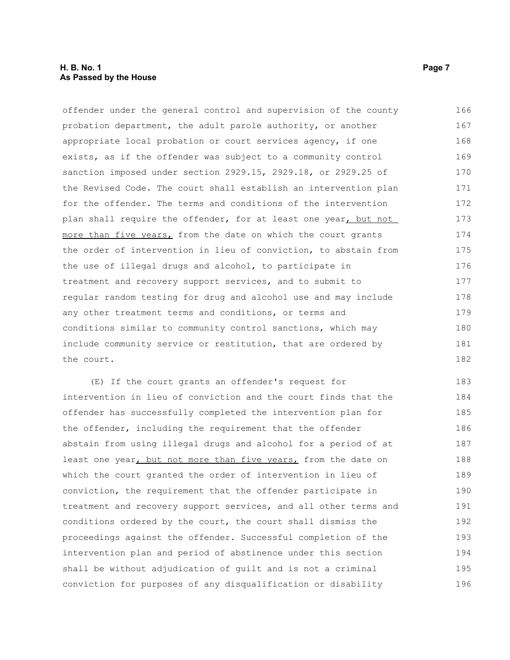#### **H. B. No. 1 Page 7 As Passed by the House**

offender under the general control and supervision of the county probation department, the adult parole authority, or another appropriate local probation or court services agency, if one exists, as if the offender was subject to a community control sanction imposed under section 2929.15, 2929.18, or 2929.25 of the Revised Code. The court shall establish an intervention plan for the offender. The terms and conditions of the intervention plan shall require the offender, for at least one year, but not more than five years, from the date on which the court grants the order of intervention in lieu of conviction, to abstain from the use of illegal drugs and alcohol, to participate in treatment and recovery support services, and to submit to regular random testing for drug and alcohol use and may include any other treatment terms and conditions, or terms and conditions similar to community control sanctions, which may include community service or restitution, that are ordered by the court. 166 167 168 169 170 171 172 173 174 175 176 177 178 179 180 181 182

(E) If the court grants an offender's request for intervention in lieu of conviction and the court finds that the offender has successfully completed the intervention plan for the offender, including the requirement that the offender abstain from using illegal drugs and alcohol for a period of at least one year, but not more than five years, from the date on which the court granted the order of intervention in lieu of conviction, the requirement that the offender participate in treatment and recovery support services, and all other terms and conditions ordered by the court, the court shall dismiss the proceedings against the offender. Successful completion of the intervention plan and period of abstinence under this section shall be without adjudication of guilt and is not a criminal conviction for purposes of any disqualification or disability 183 184 185 186 187 188 189 190 191 192 193 194 195 196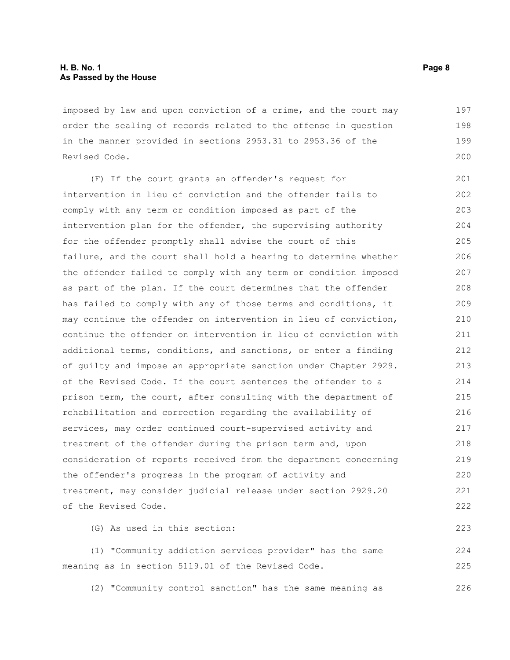imposed by law and upon conviction of a crime, and the court may order the sealing of records related to the offense in question in the manner provided in sections 2953.31 to 2953.36 of the Revised Code. 197 198 199 200

(F) If the court grants an offender's request for intervention in lieu of conviction and the offender fails to comply with any term or condition imposed as part of the intervention plan for the offender, the supervising authority for the offender promptly shall advise the court of this failure, and the court shall hold a hearing to determine whether the offender failed to comply with any term or condition imposed as part of the plan. If the court determines that the offender has failed to comply with any of those terms and conditions, it may continue the offender on intervention in lieu of conviction, continue the offender on intervention in lieu of conviction with additional terms, conditions, and sanctions, or enter a finding of guilty and impose an appropriate sanction under Chapter 2929. of the Revised Code. If the court sentences the offender to a prison term, the court, after consulting with the department of rehabilitation and correction regarding the availability of services, may order continued court-supervised activity and treatment of the offender during the prison term and, upon consideration of reports received from the department concerning the offender's progress in the program of activity and treatment, may consider judicial release under section 2929.20 of the Revised Code. 201 202 203 204 205 206 207 208 209 210 211 212 213 214 215 216 217 218 219 220 221 222

(G) As used in this section:

(1) "Community addiction services provider" has the same meaning as in section 5119.01 of the Revised Code. 224 225

(2) "Community control sanction" has the same meaning as 226

223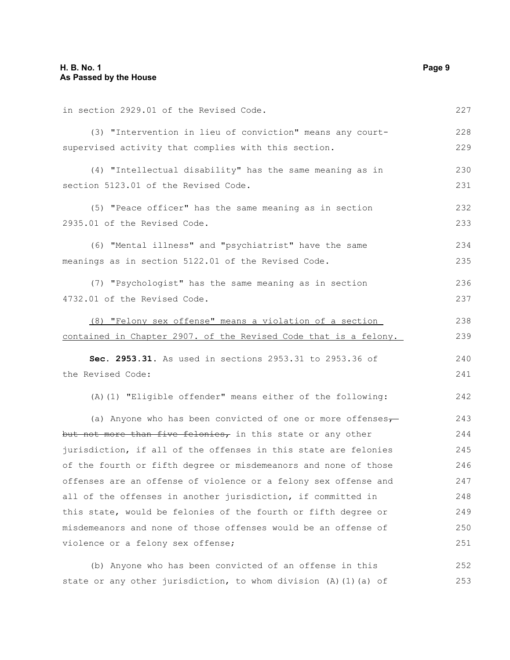| in section 2929.01 of the Revised Code.                          | 227 |
|------------------------------------------------------------------|-----|
| (3) "Intervention in lieu of conviction" means any court-        | 228 |
| supervised activity that complies with this section.             | 229 |
| (4) "Intellectual disability" has the same meaning as in         | 230 |
| section 5123.01 of the Revised Code.                             | 231 |
| (5) "Peace officer" has the same meaning as in section           | 232 |
| 2935.01 of the Revised Code.                                     | 233 |
| (6) "Mental illness" and "psychiatrist" have the same            | 234 |
| meanings as in section 5122.01 of the Revised Code.              | 235 |
| (7) "Psychologist" has the same meaning as in section            | 236 |
| 4732.01 of the Revised Code.                                     | 237 |
| (8) "Felony sex offense" means a violation of a section          | 238 |
| contained in Chapter 2907. of the Revised Code that is a felony. | 239 |
| Sec. 2953.31. As used in sections 2953.31 to 2953.36 of          | 240 |
| the Revised Code:                                                | 241 |
| (A) (1) "Eligible offender" means either of the following:       | 242 |
| (a) Anyone who has been convicted of one or more offenses $\tau$ | 243 |
| but not more than five felonies, in this state or any other      | 244 |
| jurisdiction, if all of the offenses in this state are felonies  | 245 |
| of the fourth or fifth degree or misdemeanors and none of those  | 246 |
| offenses are an offense of violence or a felony sex offense and  | 247 |
| all of the offenses in another jurisdiction, if committed in     | 248 |
| this state, would be felonies of the fourth or fifth degree or   | 249 |
| misdemeanors and none of those offenses would be an offense of   | 250 |
| violence or a felony sex offense;                                | 251 |
| (b) Anyone who has been convicted of an offense in this          | 252 |

state or any other jurisdiction, to whom division (A)(1)(a) of 253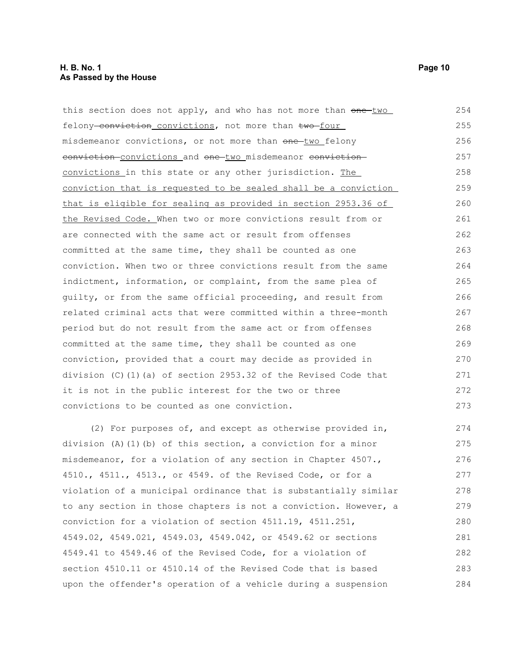| this section does not apply, and who has not more than one two                                                                                                                                                                                                                                | 254           |
|-----------------------------------------------------------------------------------------------------------------------------------------------------------------------------------------------------------------------------------------------------------------------------------------------|---------------|
| felony-conviction_convictions, not more than two-four                                                                                                                                                                                                                                         | 255           |
| misdemeanor convictions, or not more than one two felony                                                                                                                                                                                                                                      | 256           |
| eonviction-convictions and one two misdemeanor conviction-                                                                                                                                                                                                                                    | 257           |
| convictions in this state or any other jurisdiction. The                                                                                                                                                                                                                                      | 258           |
| conviction that is requested to be sealed shall be a conviction                                                                                                                                                                                                                               | 259           |
| that is eligible for sealing as provided in section 2953.36 of                                                                                                                                                                                                                                | 260           |
| the Revised Code. When two or more convictions result from or                                                                                                                                                                                                                                 | 261           |
| are connected with the same act or result from offenses                                                                                                                                                                                                                                       | 262           |
| committed at the same time, they shall be counted as one                                                                                                                                                                                                                                      | 263           |
| conviction. When two or three convictions result from the same                                                                                                                                                                                                                                | 264           |
| indictment, information, or complaint, from the same plea of                                                                                                                                                                                                                                  | 265           |
| guilty, or from the same official proceeding, and result from                                                                                                                                                                                                                                 | 266           |
| related criminal acts that were committed within a three-month                                                                                                                                                                                                                                | 267           |
| period but do not result from the same act or from offenses                                                                                                                                                                                                                                   | 268           |
| committed at the same time, they shall be counted as one                                                                                                                                                                                                                                      | 269           |
| conviction, provided that a court may decide as provided in                                                                                                                                                                                                                                   | 270           |
| division (C)(1)(a) of section 2953.32 of the Revised Code that                                                                                                                                                                                                                                | 271           |
| it is not in the public interest for the two or three                                                                                                                                                                                                                                         | 272           |
| convictions to be counted as one conviction.                                                                                                                                                                                                                                                  | 273           |
| (2) For purposes of, and except as otherwise provided in,                                                                                                                                                                                                                                     | 274           |
| division $(A)$ $(1)$ $(b)$ of this section, a conviction for a minor                                                                                                                                                                                                                          | 275           |
| misdemeanor, for a violation of any section in Chapter 4507.,                                                                                                                                                                                                                                 | 276           |
| 4510., 4511., 4513., or 4549. of the Revised Code, or for a                                                                                                                                                                                                                                   | 277           |
| violation of a municipal ordinance that is substantially similar                                                                                                                                                                                                                              | 278           |
| to any section in those chapters is not a conviction. However, a                                                                                                                                                                                                                              | 279           |
| $\frac{1}{2}$ and $\frac{1}{2}$ and $\frac{1}{2}$ and $\frac{1}{2}$ and $\frac{1}{2}$ and $\frac{1}{2}$ and $\frac{1}{2}$ and $\frac{1}{2}$ and $\frac{1}{2}$ and $\frac{1}{2}$ and $\frac{1}{2}$ and $\frac{1}{2}$ and $\frac{1}{2}$ and $\frac{1}{2}$ and $\frac{1}{2}$ and $\frac{1}{2}$ a | $\cap$ $\cap$ |

conviction for a violation of section 4511.19, 4511.251, 4549.02, 4549.021, 4549.03, 4549.042, or 4549.62 or sections 4549.41 to 4549.46 of the Revised Code, for a violation of section 4510.11 or 4510.14 of the Revised Code that is based upon the offender's operation of a vehicle during a suspension 280 281 282 283 284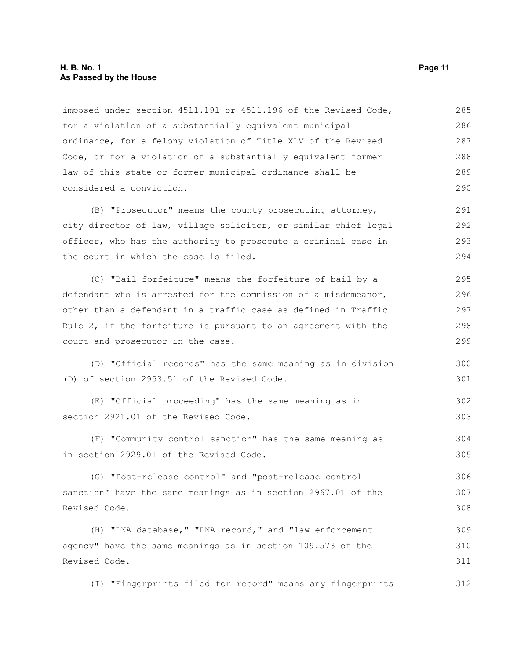# **H. B. No. 1 Page 11 As Passed by the House**

imposed under section 4511.191 or 4511.196 of the Revised Code, for a violation of a substantially equivalent municipal ordinance, for a felony violation of Title XLV of the Revised Code, or for a violation of a substantially equivalent former law of this state or former municipal ordinance shall be considered a conviction. 285 286 287 288 289 290

(B) "Prosecutor" means the county prosecuting attorney, city director of law, village solicitor, or similar chief legal officer, who has the authority to prosecute a criminal case in the court in which the case is filed. 291 292 293 294

(C) "Bail forfeiture" means the forfeiture of bail by a defendant who is arrested for the commission of a misdemeanor, other than a defendant in a traffic case as defined in Traffic Rule 2, if the forfeiture is pursuant to an agreement with the court and prosecutor in the case. 295 296 297 298 299

(D) "Official records" has the same meaning as in division (D) of section 2953.51 of the Revised Code.

(E) "Official proceeding" has the same meaning as in section 2921.01 of the Revised Code.

(F) "Community control sanction" has the same meaning as in section 2929.01 of the Revised Code. 304 305

(G) "Post-release control" and "post-release control sanction" have the same meanings as in section 2967.01 of the Revised Code. 306 307 308

(H) "DNA database," "DNA record," and "law enforcement agency" have the same meanings as in section 109.573 of the Revised Code. 309 310 311

(I) "Fingerprints filed for record" means any fingerprints 312

300 301

302 303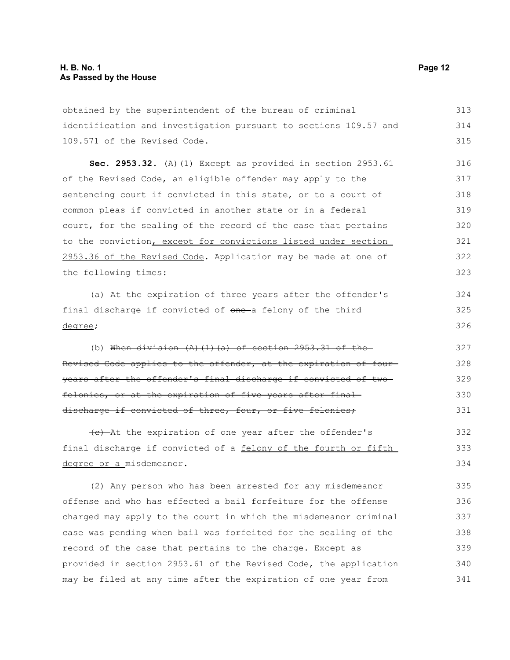obtained by the superintendent of the bureau of criminal identification and investigation pursuant to sections 109.57 and 109.571 of the Revised Code. 313 314 315

**Sec. 2953.32.** (A)(1) Except as provided in section 2953.61 of the Revised Code, an eligible offender may apply to the sentencing court if convicted in this state, or to a court of common pleas if convicted in another state or in a federal court, for the sealing of the record of the case that pertains to the conviction, except for convictions listed under section 2953.36 of the Revised Code. Application may be made at one of the following times: 316 317 318 319 320 321 322 323

(a) At the expiration of three years after the offender's final discharge if convicted of one a felony of the third degree; 324 325 326

(b) When division  $(A)$   $(1)$   $(a)$  of section 2953.31 of the Revised Code applies to the offender, at the expiration of fouryears after the offender's final discharge if convicted of two felonies, or at the expiration of five years after finaldischarge if convicted of three, four, or five felonies; 327 328 329 330 331

(c) At the expiration of one year after the offender's final discharge if convicted of a felony of the fourth or fifth degree or a misdemeanor. 332 333 334

(2) Any person who has been arrested for any misdemeanor offense and who has effected a bail forfeiture for the offense charged may apply to the court in which the misdemeanor criminal case was pending when bail was forfeited for the sealing of the record of the case that pertains to the charge. Except as provided in section 2953.61 of the Revised Code, the application may be filed at any time after the expiration of one year from 335 336 337 338 339 340 341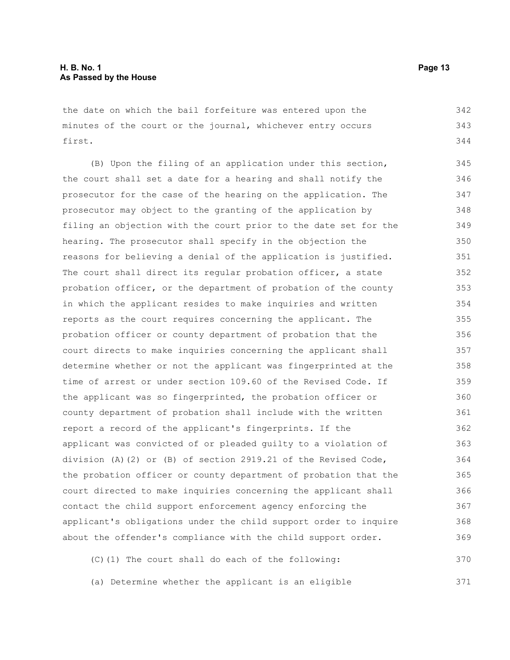the date on which the bail forfeiture was entered upon the minutes of the court or the journal, whichever entry occurs first. 342 343 344

(B) Upon the filing of an application under this section, the court shall set a date for a hearing and shall notify the prosecutor for the case of the hearing on the application. The prosecutor may object to the granting of the application by filing an objection with the court prior to the date set for the hearing. The prosecutor shall specify in the objection the reasons for believing a denial of the application is justified. The court shall direct its reqular probation officer, a state probation officer, or the department of probation of the county in which the applicant resides to make inquiries and written reports as the court requires concerning the applicant. The probation officer or county department of probation that the court directs to make inquiries concerning the applicant shall determine whether or not the applicant was fingerprinted at the time of arrest or under section 109.60 of the Revised Code. If the applicant was so fingerprinted, the probation officer or county department of probation shall include with the written report a record of the applicant's fingerprints. If the applicant was convicted of or pleaded guilty to a violation of division (A)(2) or (B) of section 2919.21 of the Revised Code, the probation officer or county department of probation that the court directed to make inquiries concerning the applicant shall contact the child support enforcement agency enforcing the applicant's obligations under the child support order to inquire about the offender's compliance with the child support order. 345 346 347 348 349 350 351 352 353 354 355 356 357 358 359 360 361 362 363 364 365 366 367 368 369

(C)(1) The court shall do each of the following: (a) Determine whether the applicant is an eligible 370 371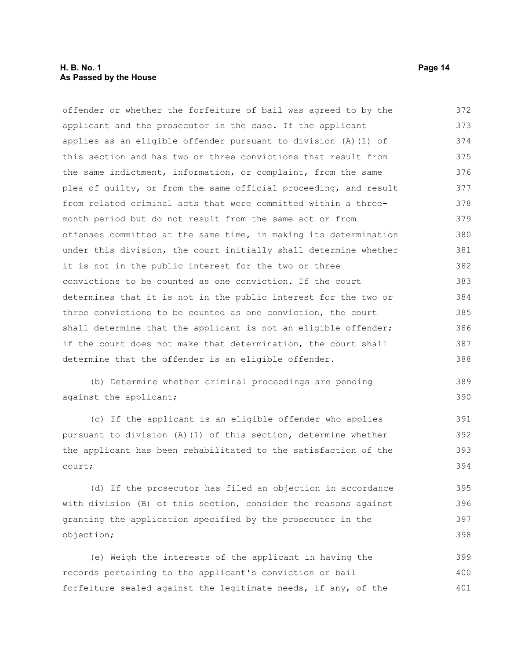# **H. B. No. 1 Page 14 As Passed by the House**

offender or whether the forfeiture of bail was agreed to by the applicant and the prosecutor in the case. If the applicant applies as an eligible offender pursuant to division (A)(1) of this section and has two or three convictions that result from the same indictment, information, or complaint, from the same plea of guilty, or from the same official proceeding, and result from related criminal acts that were committed within a threemonth period but do not result from the same act or from offenses committed at the same time, in making its determination under this division, the court initially shall determine whether it is not in the public interest for the two or three convictions to be counted as one conviction. If the court determines that it is not in the public interest for the two or three convictions to be counted as one conviction, the court shall determine that the applicant is not an eligible offender; if the court does not make that determination, the court shall determine that the offender is an eligible offender. 372 373 374 375 376 377 378 379 380 381 382 383 384 385 386 387 388

(b) Determine whether criminal proceedings are pending against the applicant; 389 390

(c) If the applicant is an eligible offender who applies pursuant to division (A)(1) of this section, determine whether the applicant has been rehabilitated to the satisfaction of the court; 391 392 393 394

(d) If the prosecutor has filed an objection in accordance with division (B) of this section, consider the reasons against granting the application specified by the prosecutor in the objection; 395 396 397 398

(e) Weigh the interests of the applicant in having the records pertaining to the applicant's conviction or bail forfeiture sealed against the legitimate needs, if any, of the 399 400 401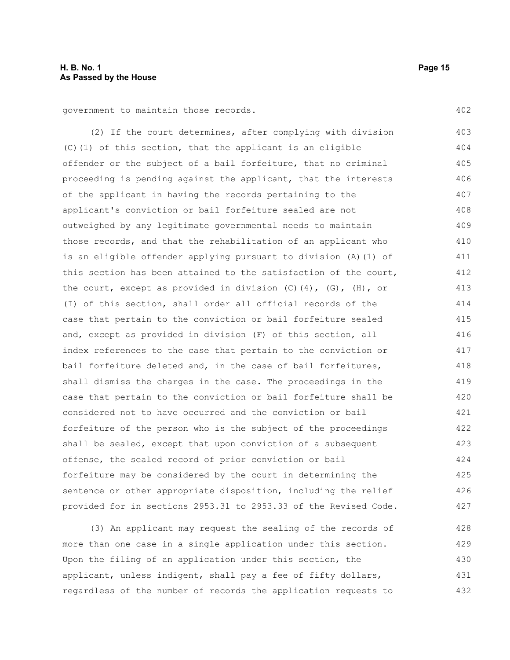government to maintain those records.

(2) If the court determines, after complying with division (C)(1) of this section, that the applicant is an eligible offender or the subject of a bail forfeiture, that no criminal proceeding is pending against the applicant, that the interests of the applicant in having the records pertaining to the applicant's conviction or bail forfeiture sealed are not outweighed by any legitimate governmental needs to maintain those records, and that the rehabilitation of an applicant who is an eligible offender applying pursuant to division (A)(1) of this section has been attained to the satisfaction of the court, the court, except as provided in division  $(C)$  (4),  $(G)$ ,  $(H)$ , or (I) of this section, shall order all official records of the case that pertain to the conviction or bail forfeiture sealed and, except as provided in division (F) of this section, all index references to the case that pertain to the conviction or bail forfeiture deleted and, in the case of bail forfeitures, shall dismiss the charges in the case. The proceedings in the case that pertain to the conviction or bail forfeiture shall be considered not to have occurred and the conviction or bail forfeiture of the person who is the subject of the proceedings shall be sealed, except that upon conviction of a subsequent offense, the sealed record of prior conviction or bail forfeiture may be considered by the court in determining the sentence or other appropriate disposition, including the relief provided for in sections 2953.31 to 2953.33 of the Revised Code. 403 404 405 406 407 408 409 410 411 412 413 414 415 416 417 418 419 420 421 422 423 424 425 426 427

(3) An applicant may request the sealing of the records of more than one case in a single application under this section. Upon the filing of an application under this section, the applicant, unless indigent, shall pay a fee of fifty dollars, regardless of the number of records the application requests to 428 429 430 431 432

402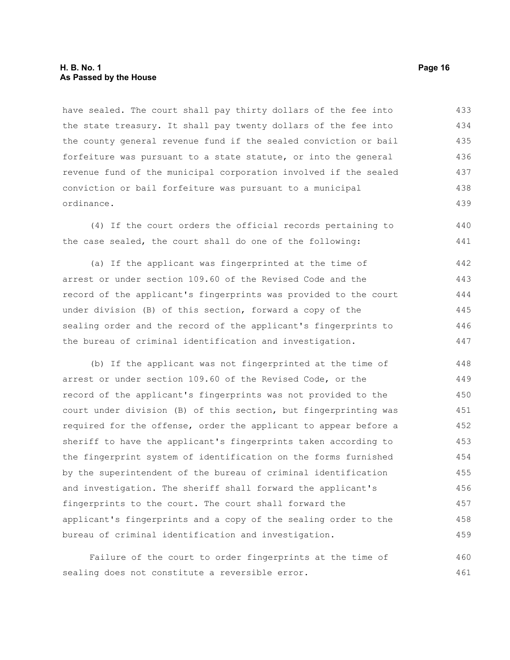# **H. B. No. 1 Page 16 As Passed by the House**

have sealed. The court shall pay thirty dollars of the fee into the state treasury. It shall pay twenty dollars of the fee into the county general revenue fund if the sealed conviction or bail forfeiture was pursuant to a state statute, or into the general revenue fund of the municipal corporation involved if the sealed conviction or bail forfeiture was pursuant to a municipal ordinance. 433 434 435 436 437 438 439

(4) If the court orders the official records pertaining to the case sealed, the court shall do one of the following: 440 441

(a) If the applicant was fingerprinted at the time of arrest or under section 109.60 of the Revised Code and the record of the applicant's fingerprints was provided to the court under division (B) of this section, forward a copy of the sealing order and the record of the applicant's fingerprints to the bureau of criminal identification and investigation. 442 443 444 445 446 447

(b) If the applicant was not fingerprinted at the time of arrest or under section 109.60 of the Revised Code, or the record of the applicant's fingerprints was not provided to the court under division (B) of this section, but fingerprinting was required for the offense, order the applicant to appear before a sheriff to have the applicant's fingerprints taken according to the fingerprint system of identification on the forms furnished by the superintendent of the bureau of criminal identification and investigation. The sheriff shall forward the applicant's fingerprints to the court. The court shall forward the applicant's fingerprints and a copy of the sealing order to the bureau of criminal identification and investigation. 448 449 450 451 452 453 454 455 456 457 458 459

Failure of the court to order fingerprints at the time of sealing does not constitute a reversible error. 460 461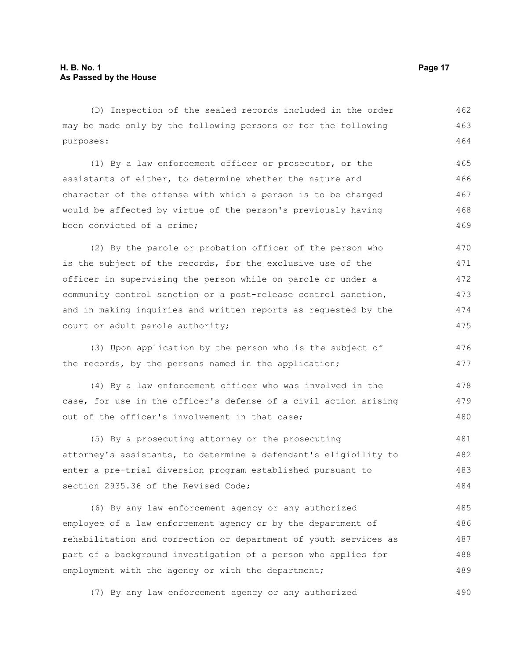(D) Inspection of the sealed records included in the order may be made only by the following persons or for the following purposes: 462 463 464

(1) By a law enforcement officer or prosecutor, or the assistants of either, to determine whether the nature and character of the offense with which a person is to be charged would be affected by virtue of the person's previously having been convicted of a crime; 465 466 467 468 469

(2) By the parole or probation officer of the person who is the subject of the records, for the exclusive use of the officer in supervising the person while on parole or under a community control sanction or a post-release control sanction, and in making inquiries and written reports as requested by the court or adult parole authority; 470 471 472 473 474 475

(3) Upon application by the person who is the subject of the records, by the persons named in the application; 476 477

(4) By a law enforcement officer who was involved in the case, for use in the officer's defense of a civil action arising out of the officer's involvement in that case; 478 479 480

(5) By a prosecuting attorney or the prosecuting attorney's assistants, to determine a defendant's eligibility to enter a pre-trial diversion program established pursuant to section 2935.36 of the Revised Code; 481 482 483 484

(6) By any law enforcement agency or any authorized employee of a law enforcement agency or by the department of rehabilitation and correction or department of youth services as part of a background investigation of a person who applies for employment with the agency or with the department; 485 486 487 488 489

(7) By any law enforcement agency or any authorized 490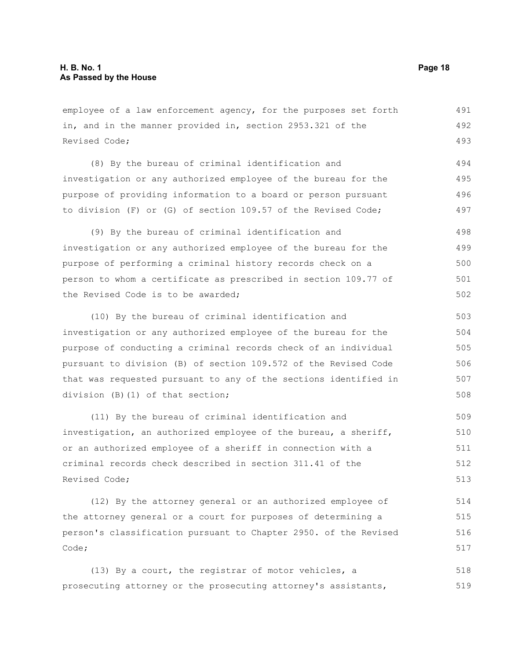employee of a law enforcement agency, for the purposes set forth in, and in the manner provided in, section 2953.321 of the Revised Code; (8) By the bureau of criminal identification and investigation or any authorized employee of the bureau for the purpose of providing information to a board or person pursuant to division (F) or (G) of section 109.57 of the Revised Code; (9) By the bureau of criminal identification and investigation or any authorized employee of the bureau for the 491 492 493 494 495 496 497 498 499

purpose of performing a criminal history records check on a person to whom a certificate as prescribed in section 109.77 of the Revised Code is to be awarded; 500 501 502

(10) By the bureau of criminal identification and investigation or any authorized employee of the bureau for the purpose of conducting a criminal records check of an individual pursuant to division (B) of section 109.572 of the Revised Code that was requested pursuant to any of the sections identified in division (B)(1) of that section; 503 504 505 506 507 508

(11) By the bureau of criminal identification and investigation, an authorized employee of the bureau, a sheriff, or an authorized employee of a sheriff in connection with a criminal records check described in section 311.41 of the Revised Code; 509 510 511 512 513

(12) By the attorney general or an authorized employee of the attorney general or a court for purposes of determining a person's classification pursuant to Chapter 2950. of the Revised Code; 514 515 516 517

(13) By a court, the registrar of motor vehicles, a prosecuting attorney or the prosecuting attorney's assistants, 518 519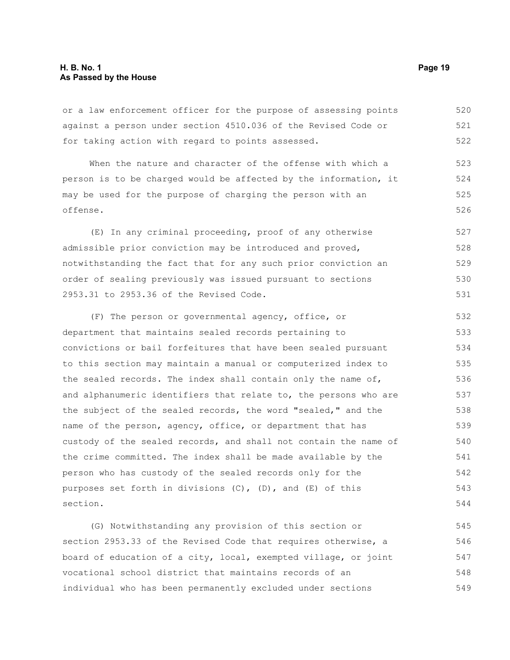## **H. B. No. 1 Page 19 As Passed by the House**

or a law enforcement officer for the purpose of assessing points against a person under section 4510.036 of the Revised Code or for taking action with regard to points assessed. 520 521 522

When the nature and character of the offense with which a person is to be charged would be affected by the information, it may be used for the purpose of charging the person with an offense. 523 524 525 526

(E) In any criminal proceeding, proof of any otherwise admissible prior conviction may be introduced and proved, notwithstanding the fact that for any such prior conviction an order of sealing previously was issued pursuant to sections 2953.31 to 2953.36 of the Revised Code. 527 528 529 530 531

(F) The person or governmental agency, office, or department that maintains sealed records pertaining to convictions or bail forfeitures that have been sealed pursuant to this section may maintain a manual or computerized index to the sealed records. The index shall contain only the name of, and alphanumeric identifiers that relate to, the persons who are the subject of the sealed records, the word "sealed," and the name of the person, agency, office, or department that has custody of the sealed records, and shall not contain the name of the crime committed. The index shall be made available by the person who has custody of the sealed records only for the purposes set forth in divisions  $(C)$ ,  $(D)$ , and  $(E)$  of this section. 532 533 534 535 536 537 538 539 540 541 542 543 544

(G) Notwithstanding any provision of this section or section 2953.33 of the Revised Code that requires otherwise, a board of education of a city, local, exempted village, or joint vocational school district that maintains records of an individual who has been permanently excluded under sections 545 546 547 548 549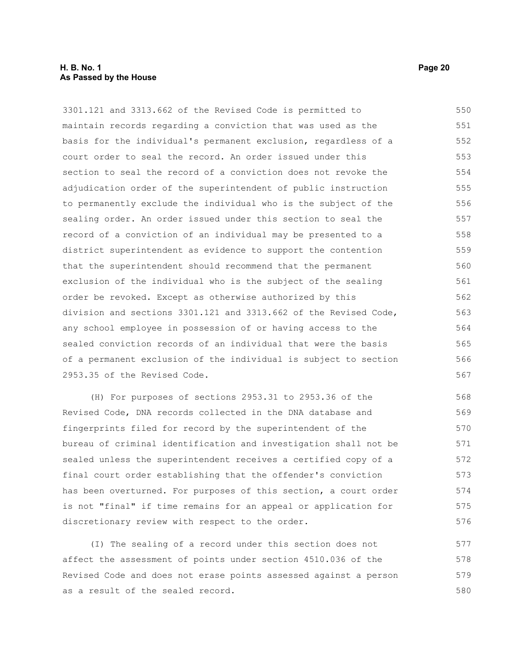### **H. B. No. 1 Page 20 As Passed by the House**

3301.121 and 3313.662 of the Revised Code is permitted to maintain records regarding a conviction that was used as the basis for the individual's permanent exclusion, regardless of a court order to seal the record. An order issued under this section to seal the record of a conviction does not revoke the adjudication order of the superintendent of public instruction to permanently exclude the individual who is the subject of the sealing order. An order issued under this section to seal the record of a conviction of an individual may be presented to a district superintendent as evidence to support the contention that the superintendent should recommend that the permanent exclusion of the individual who is the subject of the sealing order be revoked. Except as otherwise authorized by this division and sections 3301.121 and 3313.662 of the Revised Code, any school employee in possession of or having access to the sealed conviction records of an individual that were the basis of a permanent exclusion of the individual is subject to section 2953.35 of the Revised Code. 550 551 552 553 554 555 556 557 558 559 560 561 562 563 564 565 566 567

(H) For purposes of sections 2953.31 to 2953.36 of the Revised Code, DNA records collected in the DNA database and fingerprints filed for record by the superintendent of the bureau of criminal identification and investigation shall not be sealed unless the superintendent receives a certified copy of a final court order establishing that the offender's conviction has been overturned. For purposes of this section, a court order is not "final" if time remains for an appeal or application for discretionary review with respect to the order. 568 569 570 571 572 573 574 575 576

(I) The sealing of a record under this section does not affect the assessment of points under section 4510.036 of the Revised Code and does not erase points assessed against a person as a result of the sealed record. 577 578 579 580